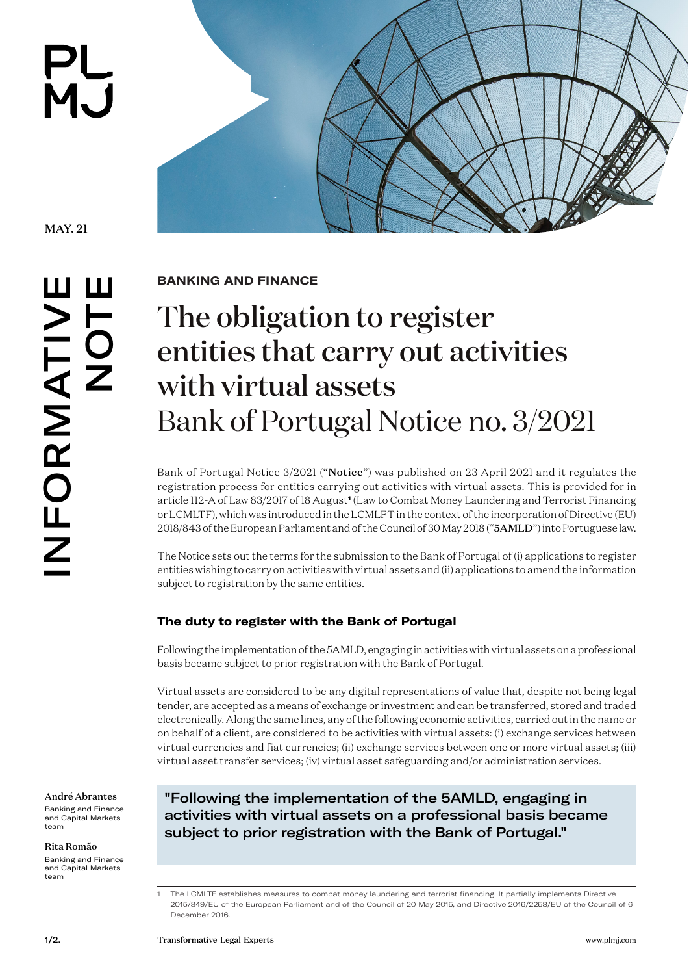



**BANKING AND FINANCE** 

## The obligation to register entities that carry out activities with virtual assets Bank of Portugal Notice no. 3/2021

Bank of Portugal Notice 3/2021 ("Notice") was published on 23 April 2021 and it regulates the registration process for entities carrying out activities with virtual assets. This is provided for in article 112-A of Law 83/2017 of 18 August**<sup>1</sup>** (Law to Combat Money Laundering and Terrorist Financing or LCMLTF), which was introduced in the LCMLFT in the context of the incorporation of Directive (EU) 2018/843 of the European Parliament and of the Council of 30 May 2018 ("5AMLD") into Portuguese law.

The Notice sets out the terms for the submission to the Bank of Portugal of (i) applications to register entities wishing to carry on activities with virtual assets and (ii) applications to amend the information subject to registration by the same entities.

## **The duty to register with the Bank of Portugal**

Following the implementation of the 5AMLD, engaging in activities with virtual assets on a professional basis became subject to prior registration with the Bank of Portugal.

Virtual assets are considered to be any digital representations of value that, despite not being legal tender, are accepted as a means of exchange or investment and can be transferred, stored and traded electronically. Along the same lines, any of the following economic activities, carried out in the name or on behalf of a client, are considered to be activities with virtual assets: (i) exchange services between virtual currencies and fiat currencies; (ii) exchange services between one or more virtual assets; (iii) virtual asset transfer services; (iv) virtual asset safeguarding and/or administration services.

[André Abrantes](https://www.plmj.com/en/people/managing-associates/Andre-Abrantes/10582/) Banking and Finance and Capital Markets team

[Rita Romão](https://www.plmj.com/en/people/associates/Rita-Romao/16828/)

Banking and Finance and Capital Markets team

"Following the implementation of the 5AMLD, engaging in activities with virtual assets on a professional basis became subject to prior registration with the Bank of Portugal."

<sup>1</sup> The LCMLTF establishes measures to combat money laundering and terrorist financing. It partially implements Directive 2015/849/EU of the European Parliament and of the Council of 20 May 2015, and Directive 2016/2258/EU of the Council of 6 December 2016.